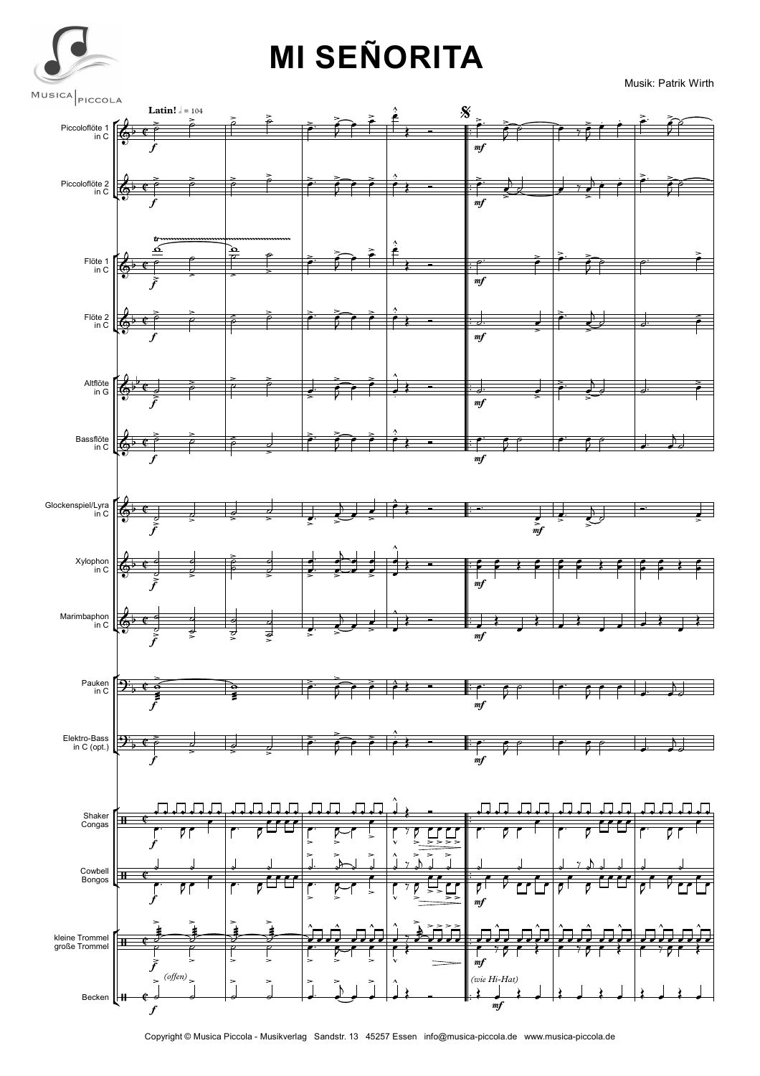

Musik: Patrik Wirth



Copyright © Musica Piccola - Musikverlag Sandstr. 13 45257 Essen info@musica-piccola.de www.musica-piccola.de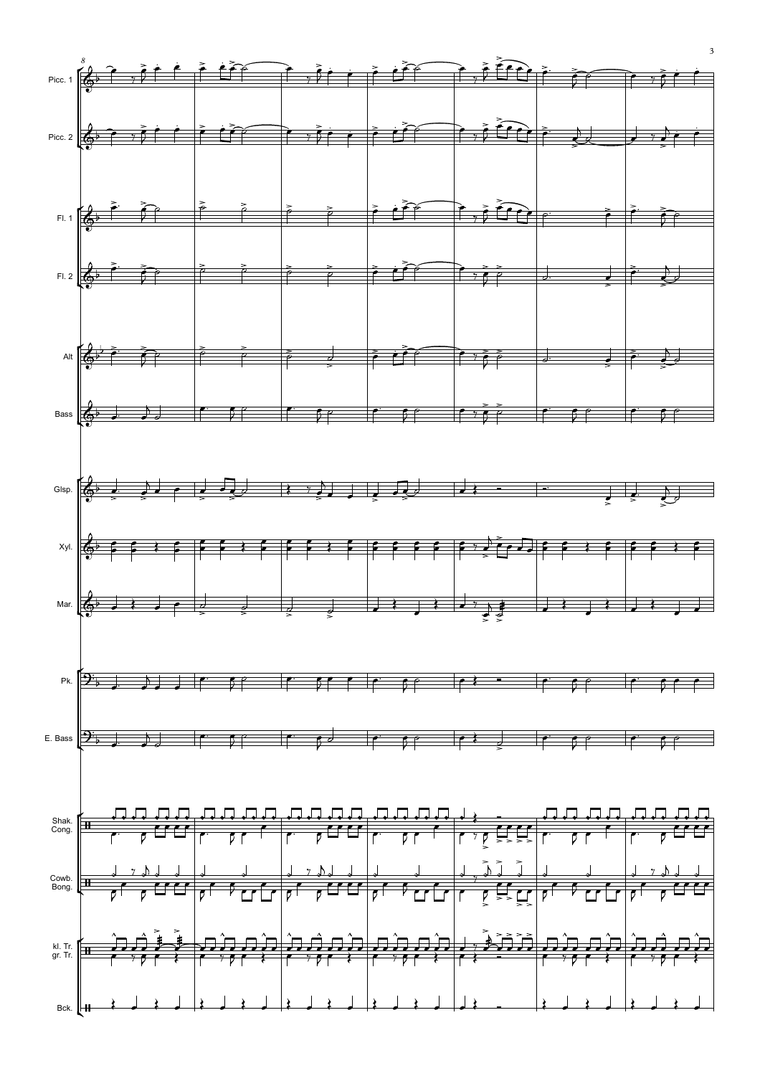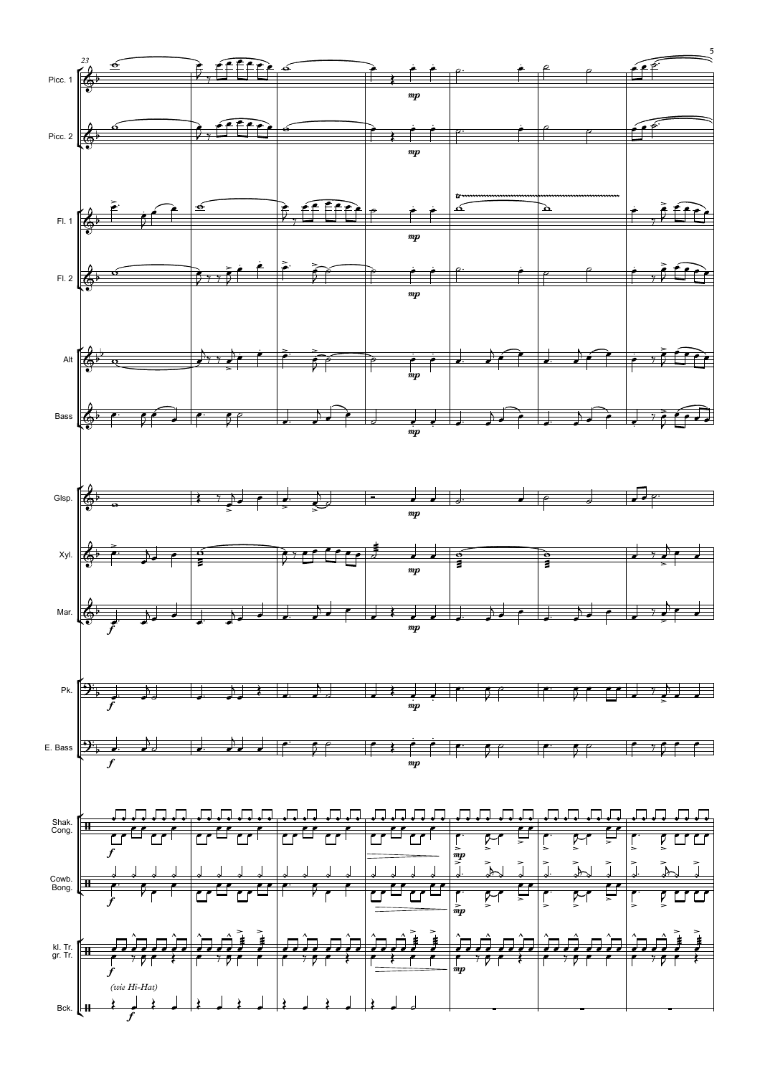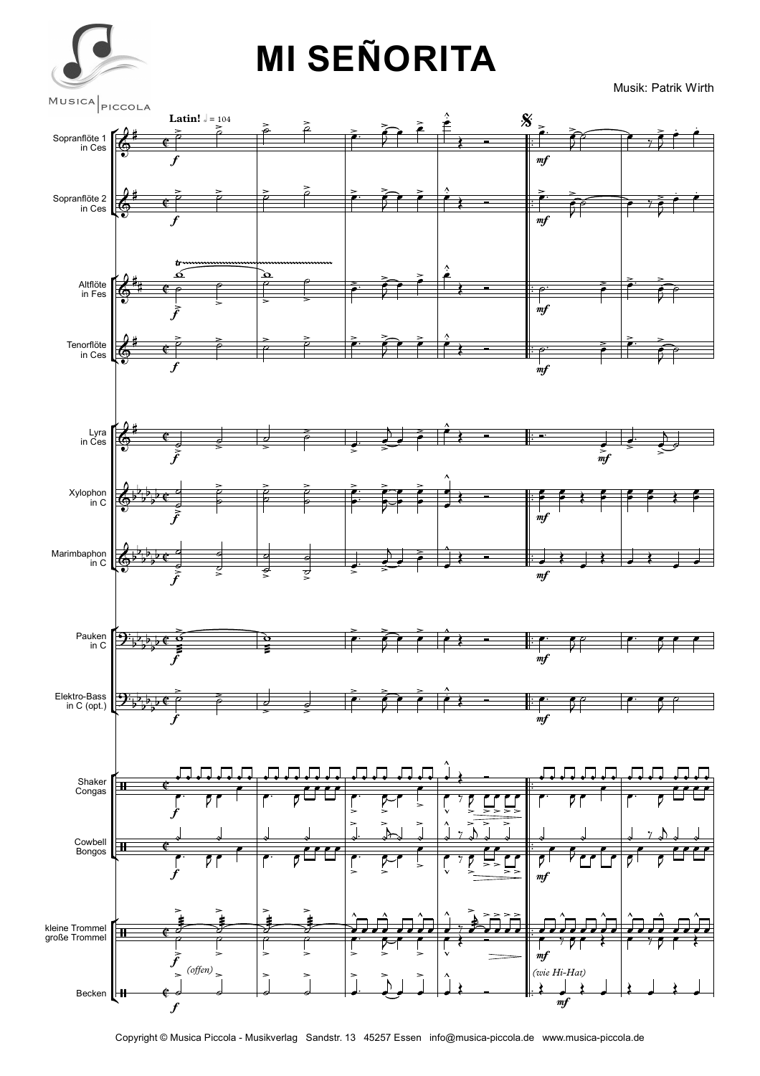

Musik: Patrik Wirth

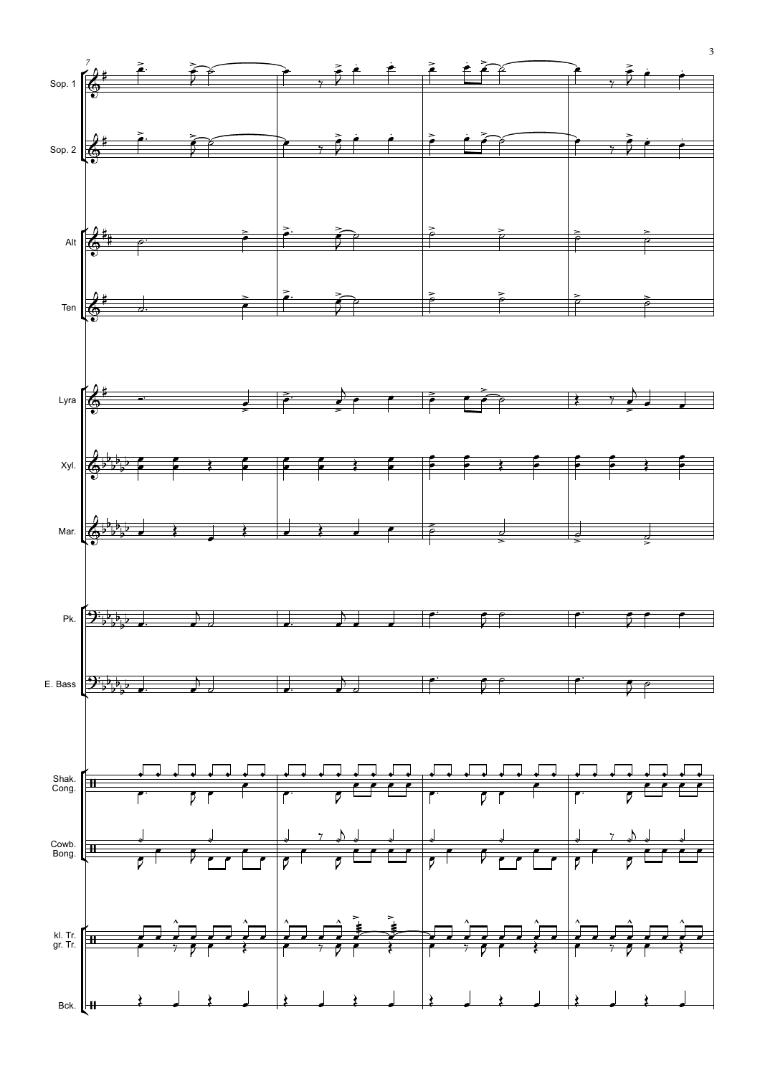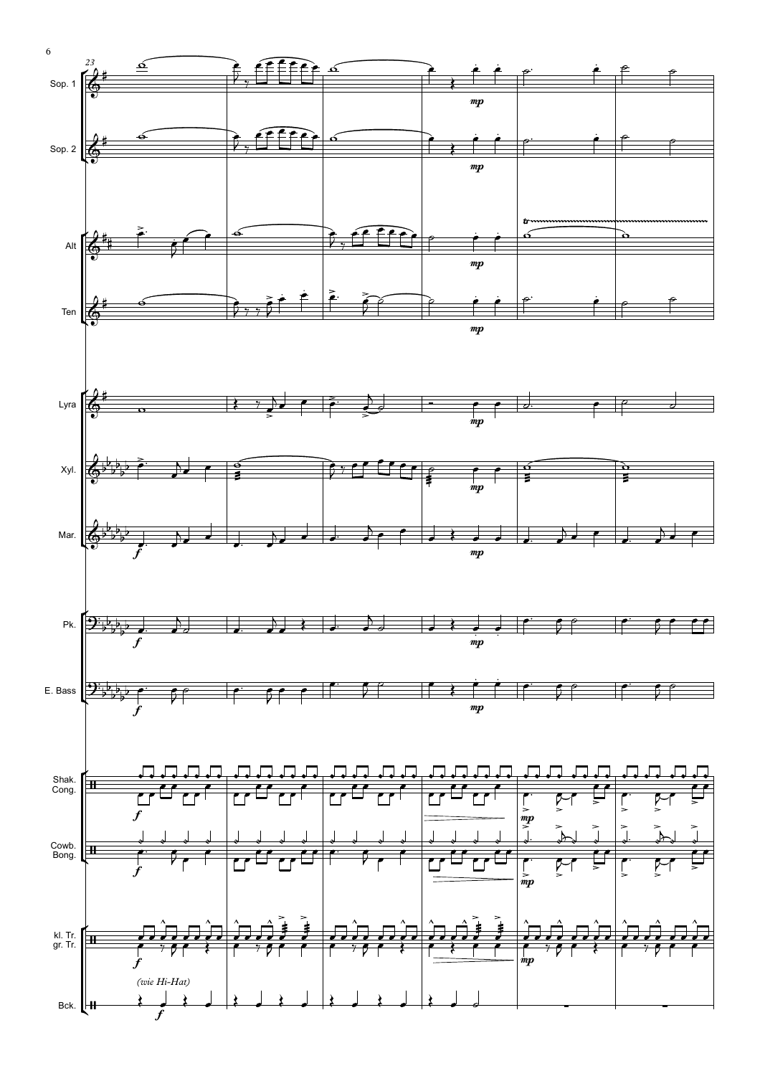

6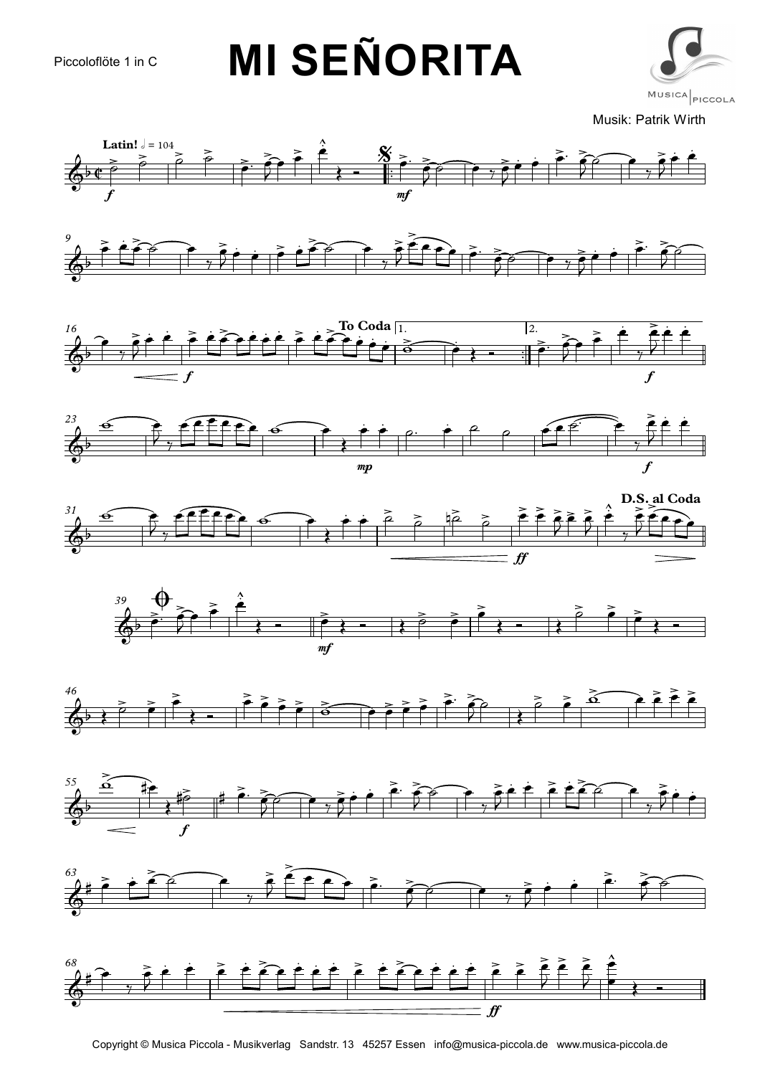

Musik: Patrik Wirth